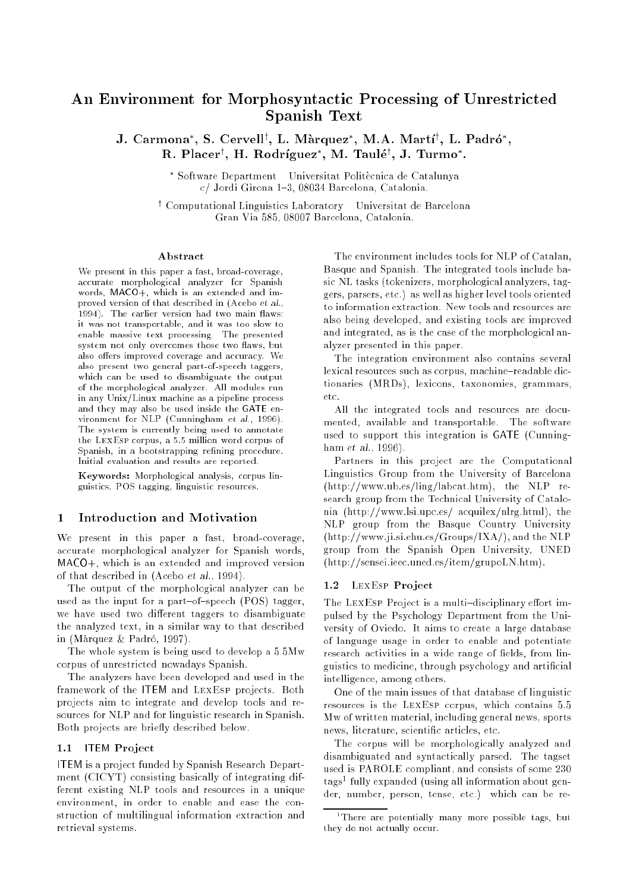# An Environment for Morphosyntactic Processing of Unrestricted Spanish Text

J. Carmona , S. Cervell', L. Marquez , M.A. Martl', L. Padro , R. Placer , H. Rodriguez , M. Taule , J. Turmo .

> Software Department { Universitat Politecnica de Catalunya c/ Jordi Girona 1-3, 08034 Barcelona, Catalonia.

<sup>y</sup> Computational Linguistics Laboratory { Universitat de Barcelona Gran Via 585, 08007 Barcelona, Catalonia.

#### A bstract

We present in this paper a fast, broad-coverage, accurate morphological analyzer for Spanish words, MACO+, which is an extended and improved version of that described in (Acebo et al., 1994). The earlier version had two main flaws: it was not transportable, and it was too slow to enable massive text processing. The presented system not only overcomes those two flaws, but also offers improved coverage and accuracy. We also present two general part-of-speech taggers, which can be used to disambiguate the output of the morphological analyzer. All modules run in any Unix/Linux machine as a pipeline process and they may also be used inside the GATE environment for NLP (Cunningham et al., 1996). The system is currently being used to annotate the LexEsp corpus, a 5.5 million word corpus of Spanish, in a bootstrapping refining procedure. Initial evaluation and results are reported.

Keywords: Morphological analysis, corpus linguistics, POS tagging, linguistic resources.

# 1 Introduction and Motivation

We present in this paper a fast, broad-coverage, accurate morphological analyzer for Spanish words, MACO+, which is an extended and improved version of that described in (Acebo et al., 1994).

The output of the morphological analyzer can be used as the input for a part-of-speech  $(POS)$  tagger, we have used two different taggers to disambiguate the analyzed text, in a similar way to that described in (Marquez & Padro, 1997).

The whole system is being used to develop a 5.5Mw corpus of unrestricted nowadays Spanish.

The analyzers have been developed and used in the framework of the ITEM and LexEsp projects. Both projects aim to integrate and develop tools and resources for NLP and for linguistic research in Spanish. Both projects are briefly described below.

### 1.1 ITEM Project

ITEM is a project funded by Spanish Research Department (CICYT) consisting basically of integrating different existing NLP tools and resources in a unique environment, in order to enable and ease the construction of multilingual information extraction and retrieval systems.

The environment includes tools for NLP of Catalan, Basque and Spanish. The integrated tools include basic NL tasks (tokenizers, morphological analyzers, taggers, parsers, etc.) as well as higher level tools oriented to information extraction. New tools and resources are also being developed, and existing tools are improved and integrated, as is the case of the morphological analyzer presented in this paper.

The integration environment also contains several lexical resources such as corpus, machine-readable dictionaries (MRDs), lexicons, taxonomies, grammars, etc.

All the integrated tools and resources are documented, available and transportable. The software used to support this integration is GATE (Cunningham *et al.*, 1996).

Partners in this project are the Computational Linguistics Group from the University of Barcelona (http://www.ub.es/ling/labcat.htm), the NLP research group from the Technical University of Catalonia (http://www.lsi.upc.es/ acquilex/nlrg.html), the NLP group from the Basque Country University (http://www.ji.si.ehu.es/Groups/IXA/), and the NLP group from the Spanish Open University, UNED (http://sensei.ieec.uned.es/item/grupoLN.htm).

### 1.2 LEXESP Project

The LEXESP Project is a multi-disciplinary effort impulsed by the Psychology Department from the University of Oviedo. It aims to create a large database of language usage in order to enable and potentiate research activities in a wide range of fields, from linguistics to medicine, through psychology and articial intelligence, among others.

One of the main issues of that database of linguistic resources is the LEXESP corpus, which contains 5.5 Mw of written material, including general news, sports news, literature, scientific articles, etc.

The corpus will be morphologically analyzed and disambiguated and syntactically parsed. The tagset used is PAROLE compliant, and consists of some 230 tags=1ully expanded (using all information about gender, number, person, tense, etc.) which can be re-

<sup>1</sup> There are potentially many more possible tags, but they do not actually occur.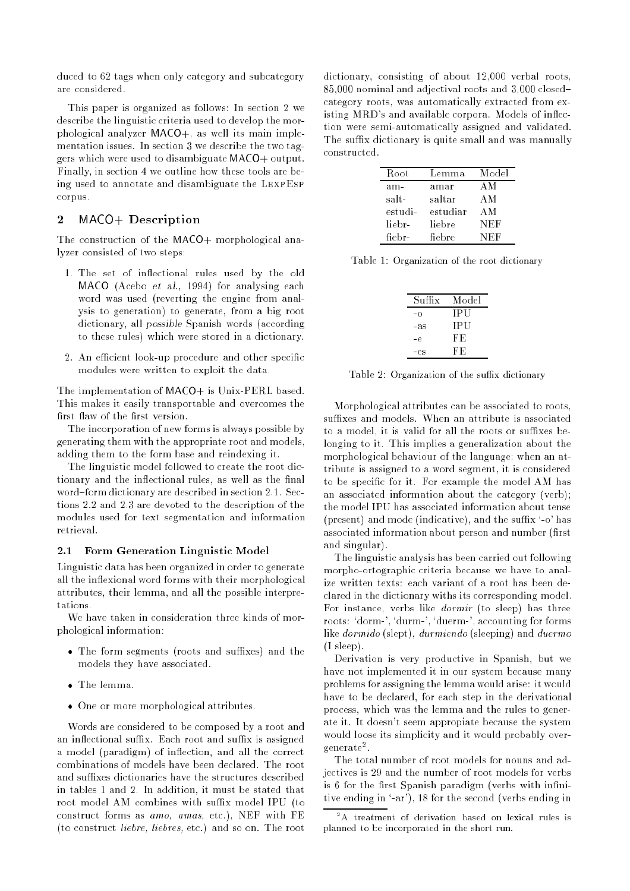duced to 62 tags when only category and subcategory are considered

This paper is organized as follows: In section 2 we describe the linguistic criteria used to develop the morphological analyzer MACO+, as well its main implementation issues. In section 3 we describe the two taggers which were used to disambiguate MACO+ output. Finally, in section 4 we outline how these tools are being used to annotate and disambiguate the LexpEsp corpus.

# 2 MACO+ Description

The construction of the MACO+ morphological analyzer consisted of two steps:

- 1. The set of inflectional rules used by the old MACO (Acebo et al., 1994) for analysing each word was used (reverting the engine from analysis to generation) to generate, from a big root dictionary, all possible Spanish words (according to these rules) which were stored in a dictionary.
- 2. An efficient look-up procedure and other specific modules were written to exploit the data.

The implementation of MACO+ is Unix-PERL based. This makes it easily transportable and overcomes the first flaw of the first version.

The incorporation of new forms is always possible by generating them with the appropriate root and models, adding them to the form base and reindexing it.

The linguistic model followed to create the root dictionary and the inflectional rules, as well as the final word-form dictionary are described in section 2.1. Sections 2.2 and 2.3 are devoted to the description of the modules used for text segmentation and information retrieval.

#### 2.1 Form Generation Linguistic Model

Linguistic data has been organized in order to generate all the inflexional word forms with their morphological attributes, their lemma, and all the possible interpretations.

We have taken in consideration three kinds of morphological information:

- The form segments (roots and suffixes) and the models they have associated.
- The lemma.
- One or more morphological attributes.

Words are considered to be composed by a root and an inflectional suffix. Each root and suffix is assigned a model (paradigm) of inflection, and all the correct combinations of models have been declared. The root and suffixes dictionaries have the structures described in tables 1 and 2. In addition, it must be stated that root model AM combines with suffix model IPU (to construct forms as amo, amas, etc.), NEF with FE (to construct liebre, liebres, etc.) and so on. The root dictionary, consisting of about 12,000 verbal roots, 85,000 nominal and adjectival roots and 3,000 closed{ category roots, was automatically extracted from existing MRD's and available corpora. Models of inflection were semi-automatically assigned and validated. The suffix dictionary is quite small and was manually constructed.

| Root    | Lemma    | Model |
|---------|----------|-------|
| am-     | amar     | AM    |
| salt-   | saltar   | AM    |
| estudi- | estudiar | AM    |
| liebr-  | liebre   | NEF   |
| fiebr-  | fiebre   | NEF   |

Table 1: Organization of the root dictionary

| Suffix | Model |
|--------|-------|
| -0     | IPU   |
| -as    | IPU   |
| -е     | FE    |
| -es    | FE    |

Table 2: Organization of the suffix dictionary

Morphological attributes can be associated to roots, suffixes and models. When an attribute is associated to a model, it is valid for all the roots or suffixes belonging to it. This implies a generalization about the morphological behaviour of the language; when an attribute is assigned to a word segment, it is considered to be specific for it. For example the model AM has an associated information about the category (verb); the model IPU has associated information about tense (present) and mode (indicative), and the suffix '-o' has associated information about person and number (first and singular).

The linguistic analysis has been carried out following morpho-ortographic criteria because we have to analize written texts: each variant of a root has been declared in the dictionary withs its corresponding model. For instance, verbs like dormir (to sleep) has three roots: `dorm-', `durm-', `duerm-', accounting for forms like dormido (slept), durmiendo (sleeping) and duermo (I sleep).

Derivation is very productive in Spanish, but we have not implemented it in our system because many problems for assigning the lemma would arise: it would have to be declared, for each step in the derivational process, which was the lemma and the rules to generate it. It doesn't seem appropiate because the system would loose its simplicity and it would probably overgenerate .

The total number of root models for nouns and adjectives is 29 and the number of root models for verbs is 6 for the first Spanish paradigm (verbs with infinitive ending in `-ar'), 18 for the second (verbs ending in

<sup>2</sup> A treatment of derivation based on lexical rules is planned to be incorporated in the short run.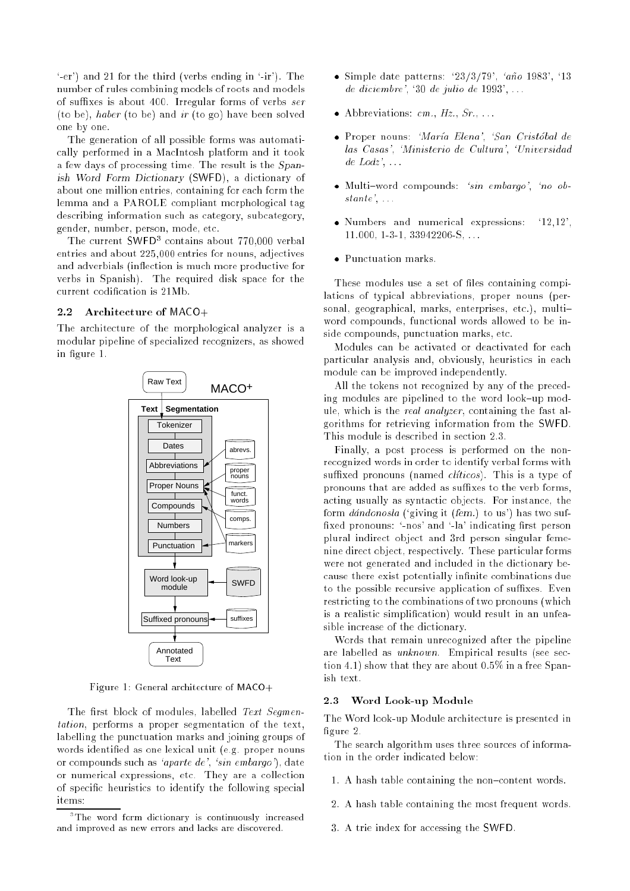$(-er')$  and 21 for the third (verbs ending in  $-ir'$ ). The number of rules combining models of roots and models of suffixes is about 400. Irregular forms of verbs  $ser$ (to be), haber (to be) and ir (to go) have been solved one by one.

The generation of all possible forms was automatically performed in a MacIntosh platform and it took a few days of processing time. The result is the Spanish Word Form Dictionary (SWFD), a dictionary of about one million entries, containing for each form the lemma and a PAROLE compliant morphological tag describing information such as category, subcategory, gender, number, person, mode, etc.

Ine current SWFD<sup>-</sup> contains about 170,000 verbal entries and about 225,000 entries for nouns, adjectives and adverbials (inflection is much more productive for verbs in Spanish). The required disk space for the current codication is 21Mb.

#### 2.2 Architecture of MACO+

The architecture of the morphological analyzer is a modular pipeline of specialized recognizers, as showed in figure 1.



Figure 1: General architecture of MACO+

The first block of modules, labelled Text Segmentation, performs a proper segmentation of the text, labelling the punctuation marks and joining groups of words identied as one lexical unit (e.g. proper nouns or compounds such as 'aparte de', 'sin embargo'), date or numerical expressions, etc. They are a collection of specic heuristics to identify the following special items:

- $\bullet$  Simple date patterns:  $23/3/79'$ ,  $a\tilde{n}$ o 1983', '13 de diciembre', '30 de julio de 1993', ...
- $\bullet$  Abbreviations:  $cm, Hz, Sr, \ldots$
- $\bullet$  Proper nouns: 'María Elena', 'San Cristóbal de las Casas', `Ministerio de Cultura', `Universidad  $de\; Lodz'$ , ...
- $\bullet$  Multi-word compounds: 'sin embargo', 'no obstante',  $\ldots$
- Numbers and numerical expressions: `12,12', 11.000, 1-3-1, 33942206-S, . . .
- Punctuation marks.

These modules use a set of files containing compilations of typical abbreviations, proper nouns (personal, geographical, marks, enterprises, etc.), multiword compounds, functional words allowed to be inside compounds, punctuation marks, etc.

Modules can be activated or deactivated for each particular analysis and, obviously, heuristics in each module can be improved independently.

All the tokens not recognized by any of the preceding modules are pipelined to the word look-up module, which is the real analyzer, containing the fast algorithms for retrieving information from the SWFD. This module is described in section 2.3.

Finally, a post process is performed on the nonrecognized words in order to identify verbal forms with suffixed pronouns (named  $clitics$ ). This is a type of pronouns that are added as suffixes to the verb forms, acting usually as syntactic objects. For instance, the form  $d\acute{a}ndonosla$  ('giving it (fem.) to us') has two suffixed pronouns: '-nos' and '-la' indicating first person plural indirect object and 3rd person singular femenine direct object, respectively. These particular forms were not generated and included in the dictionary because there exist potentially infinite combinations due to the possible recursive application of suffixes. Even restricting to the combinations of two pronouns (which is a realistic simplication) would result in an unfeasible increase of the dictionary.

Words that remain unrecognized after the pipeline are labelled as unknown. Empirical results (see section 4.1) show that they are about 0.5% in a free Spanish text.

#### 2.3 Word Look-up Module

The Word look-up Module architecture is presented in figure 2.

The search algorithm uses three sources of information in the order indicated below:

- 1. A hash table containing the non-content words.
- 2. A hash table containing the most frequent words.
- 3. A trie index for accessing the SWFD.

Dine word form dictionary is continuously increased and improved as new errors and lacks are discovered.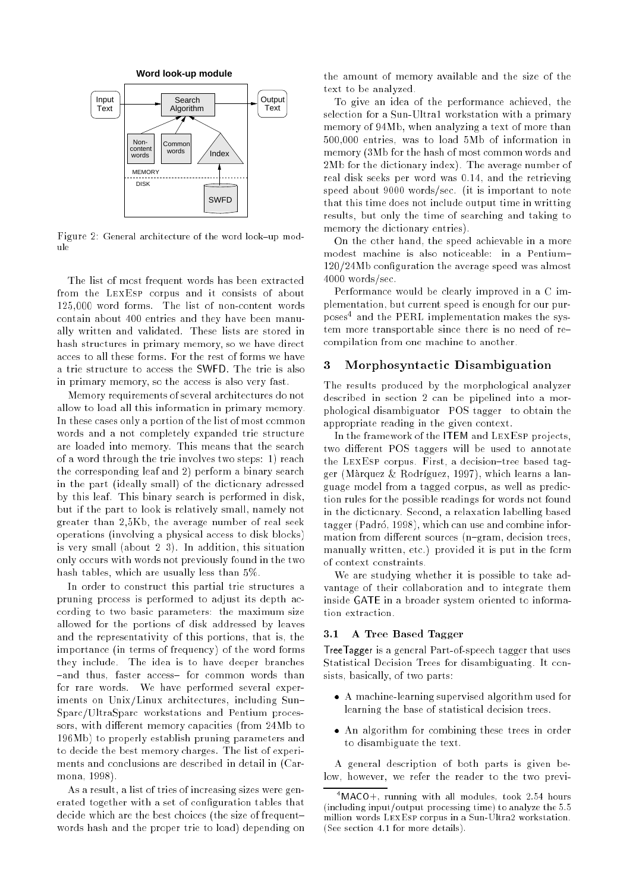

Figure 2: General architecture of the word look-up module

The list of most frequent words has been extracted from the LexEsp corpus and it consists of about 125,000 word forms. The list of non-content words contain about 400 entries and they have been manually written and validated. These lists are stored in hash structures in primary memory, so we have direct acces to all these forms. For the rest of forms we have a trie structure to access the SWFD. The trie is also in primary memory, so the access is also very fast.

Memory requirements of several architectures do not allow to load all this information in primary memory. In these cases only a portion of the list of most common words and a not completely expanded trie structure are loaded into memory. This means that the search of a word through the trie involves two steps: 1) reach the corresponding leaf and 2) perform a binary search in the part (ideally small) of the dictionary adressed by this leaf. This binary search is performed in disk, but if the part to look is relatively small, namely not greater than 2,5Kb, the average number of real seek operations (involving a physical access to disk blocks) is very small (about  $2-3$ ). In addition, this situation only occurs with words not previously found in the two hash tables, which are usually less than 5%.

In order to construct this partial trie structures a pruning process is performed to adjust its depth according to two basic parameters: the maximum size allowed for the portions of disk addressed by leaves and the representativity of this portions, that is, the importance (in terms of frequency) of the word forms they include. The idea is to have deeper branches -and thus, faster access- for common words than for rare words. We have performed several experiments on Unix/Linux architectures, including Sun-Sparc/UltraSparc workstations and Pentium processors, with different memory capacities (from 24Mb to 196Mb) to properly establish pruning parameters and to decide the best memory charges. The list of experiments and conclusions are described in detail in (Carmona, 1998).

As a result, a list of tries of increasing sizes were generated together with a set of configuration tables that decide which are the best choices (the size of frequentwords hash and the proper trie to load) depending on

the amount of memory available and the size of the text to be analyzed.

To give an idea of the performance achieved, the selection for a Sun-Ultra1 workstation with a primary memory of 94Mb, when analyzing a text of more than 500,000 entries, was to load 5Mb of information in memory (3Mb for the hash of most common words and 2Mb for the dictionary index). The average number of real disk seeks per word was 0.14, and the retrieving speed about 9000 words/sec. (it is important to note that this time does not include output time in writting results, but only the time of searching and taking to memory the dictionary entries).

On the other hand, the speed achievable in a more modest machine is also noticeable: in a Pentium-120/24Mb conguration the average speed was almost 4000 words/sec.

Performance would be clearly improved in a C implementation, but current speed is enough for our purposes and the PERL implementation makes the system more transportable since there is no need of recompilation from one machine to another.

# 3 Morphosyntactic Disambiguation

The results produced by the morphological analyzer described in section 2 can be pipelined into a morphological disambiguator -POS tagger- to obtain the appropriate reading in the given context.

In the framework of the ITEM and LEXESP projects, two different POS taggers will be used to annotate the LEXESP corpus. First, a decision-tree based tagger (Marquez & Rodrguez, 1997), which learns a language model from a tagged corpus, as well as prediction rules for the possible readings for words not found in the dictionary. Second, a relaxation labelling based tagger (Padró, 1998), which can use and combine information from different sources  $(n{\text -}\text{gram}, \text{decision trees},$ manually written, etc.) provided it is put in the form of context constraints.

We are studying whether it is possible to take advantage of their collaboration and to integrate them inside GATE in a broader system oriented to information extraction.

## 3.1 A Tree Based Tagger

TreeTagger is a general Part-of-speech tagger that uses Statistical Decision Trees for disambiguating. It consists, basically, of two parts:

- A machine-learning supervised algorithm used for learning the base of statistical decision trees.
- An algorithm for combining these trees in order to disambiguate the text.

A general description of both parts is given below, however, we refer the reader to the two previ-

 $4$ MACO+, running with all modules, took 2.54 hours (including input/output processing time) to analyze the 5.5 million words LexEsp corpus in a Sun-Ultra2 workstation. (See section 4.1 for more details).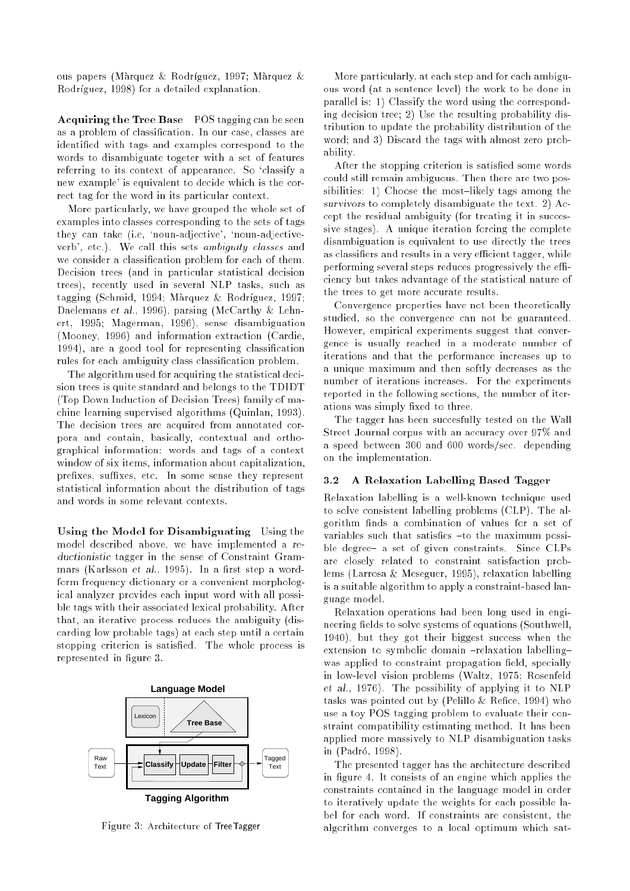ous papers (Màrquez & Rodríguez, 1997; Màrquez & Rodríguez, 1998) for a detailed explanation.

Acquiring the Tree Base POS tagging can be seen as a problem of classification. In our case, classes are identied with tags and examples correspond to the words to disambiguate togeter with a set of features referring to its context of appearance. So 'classify a new example' is equivalent to decide which is the correct tag for the word in its particular context.

More particularly, we have grouped the whole set of examples into classes corresponding to the sets of tags they can take (i.e, `noun-adjective', `noun-adjectiveverb', etc.). We call this sets ambiguity classes and we consider a classification problem for each of them. Decision trees (and in particular statistical decision trees), recently used in several NLP tasks, such as tagging (Schmid, 1994; Màrquez & Rodríguez, 1997; Daelemans et al., 1996), parsing (McCarthy & Lehnert, 1995; Magerman, 1996), sense disambiguation (Mooney, 1996) and information extraction (Cardie, 1994), are a good tool for representing classification rules for each ambiguity class classication problem.

The algorithm used for acquiring the statistical decision trees is quite standard and belongs to the TDIDT (Top Down Induction of Decision Trees) family of machine learning supervised algorithms (Quinlan, 1993). The decision trees are acquired from annotated corpora and contain, basically, contextual and orthographical information: words and tags of a context window of six items, information about capitalization, prefixes, suffixes, etc. In some sense they represent statistical information about the distribution of tags and words in some relevant contexts.

Using the Model for Disambiguating Using the model described above, we have implemented a reductionistic tagger in the sense of Constraint Grammars (Karlsson *et al.*, 1995). In a first step a wordform frequency dictionary or a convenient morphological analyzer provides each input word with all possible tags with their associated lexical probability. After that, an iterative process reduces the ambiguity (discarding low probable tags) at each step until a certain stopping criterion is satisfied. The whole process is represented in figure 3.



Figure 3: Architecture of TreeTagger

More particularly, at each step and for each ambiguous word (at a sentence level) the work to be done in parallel is: 1) Classify the word using the corresponding decision tree; 2) Use the resulting probability distribution to update the probability distribution of the word; and 3) Discard the tags with almost zero probability.

After the stopping criterion is satisfied some words could still remain ambiguous. Then there are two possibilities: 1) Choose the most-likely tags among the survivors to completely disambiguate the text. 2) Accept the residual ambiguity (for treating it in successive stages). A unique iteration forcing the complete disambiguation is equivalent to use directly the trees as classifiers and results in a very efficient tagger, while performing several steps reduces progressively the efficiency but takes advantage of the statistical nature of the trees to get more accurate results.

Convergence properties have not been theoretically studied, so the convergence can not be guaranteed. However, empirical experiments suggest that convergence is usually reached in a moderate number of iterations and that the performance increases up to a unique maximum and then softly decreases as the number of iterations increases. For the experiments reported in the following sections, the number of iterations was simply fixed to three.

The tagger has been succesfully tested on the Wall Street Journal corpus with an accuracy over 97% and a speed between 300 and 600 words/sec. depending on the implementation.

## 3.2 A Relaxation Labelling Based Tagger

Relaxation labelling is a well-known technique used to solve consistent labelling problems (CLP). The algorithm nds a combination of values for a set of variables such that satisfies -to the maximum possible degree- a set of given constraints. Since CLPs are closely related to constraint satisfaction problems (Larrosa & Meseguer, 1995), relaxation labelling is a suitable algorithm to apply a constraint-based language model.

Relaxation operations had been long used in engineering fields to solve systems of equations (Southwell, 1940), but they got their biggest success when the extension to symbolic domain -relaxation labellingwas applied to constraint propagation field, specially in low-level vision problems (Waltz, 1975; Rosenfeld et al., 1976). The possibility of applying it to NLP tasks was pointed out by (Pelillo  $&$  Refice, 1994) who use a toy POS tagging problem to evaluate their constraint compatibility estimating method. It has been applied more massively to NLP disambiguation tasks in (Padro, 1998).

The presented tagger has the architecture described in figure 4. It consists of an engine which applies the constraints contained in the language model in order to iteratively update the weights for each possible label for each word. If constraints are consistent, the algorithm converges to a local optimum which sat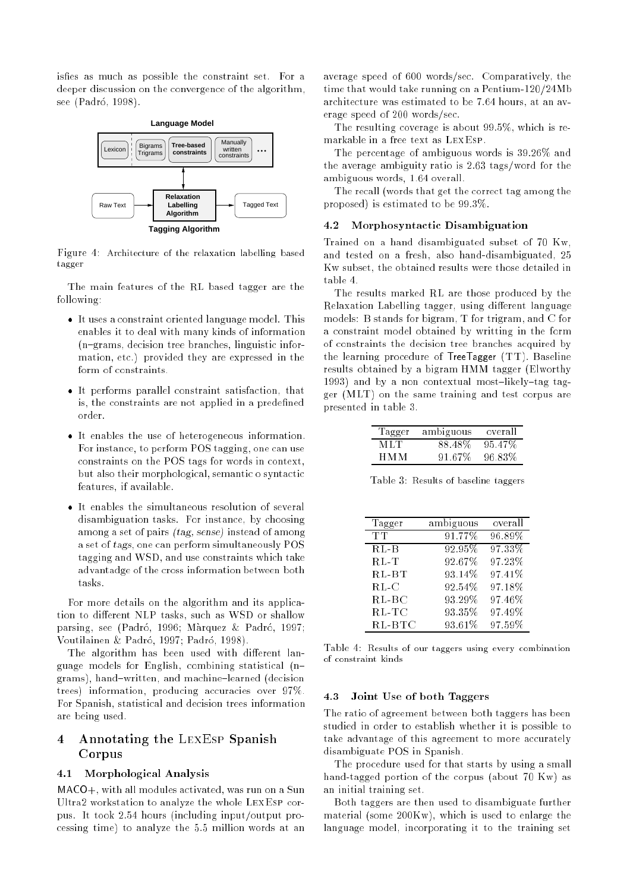isfies as much as possible the constraint set. For a deeper discussion on the convergence of the algorithm, see (Padro, 1998).



Figure 4: Architecture of the relaxation labelling based tagger

The main features of the RL based tagger are the following:

- It uses a constraint oriented language model. This enables it to deal with many kinds of information  $(n$ -grams, decision tree branches, linguistic information, etc.) provided they are expressed in the form of constraints.
- It performs parallel constraint satisfaction, that is, the constraints are not applied in a predefined order.
- It enables the use of heterogeneous information. For instance, to perform POS tagging, one can use constraints on the POS tags for words in context, but also their morphological, semantic o syntactic features, if available.
- It enables the simultaneous resolution of several disambiguation tasks. For instance, by choosing among a set of pairs (tag, sense) instead of among a set of tags, one can perform simultaneously POS tagging and WSD, and use constraints which take advantadge of the cross information between both tasks.

For more details on the algorithm and its application to different NLP tasks, such as WSD or shallow parsing, see (Padró, 1996; Màrquez & Padró, 1997; Voutilainen & Padró, 1997; Padró, 1998).

The algorithm has been used with different language models for English, combining statistical (n{ grams), hand{written, and machine{learned (decision trees) information, producing accuracies over 97%. For Spanish, statistical and decision trees information are being used.

#### 4 Annotating the LexEsp Spanish  $\overline{\mathbf{4}}$ Corpus

# 4.1 Morphological Analysis

MACO+, with all modules activated, was run on a Sun Ultra2 workstation to analyze the whole LexEsp corpus. It took 2.54 hours (including input/output processing time) to analyze the 5.5 million words at an

average speed of 600 words/sec. Comparatively, the time that would take running on a Pentium-120/24Mb architecture was estimated to be 7.64 hours, at an average speed of 200 words/sec.

The resulting coverage is about 99.5%, which is remarkable in a free text as LexEsp.

The percentage of ambiguous words is 39.26% and the average ambiguity ratio is 2.63 tags/word for the ambiguous words, 1.64 overall.

The recall (words that get the correct tag among the proposed) is estimated to be 99.3%.

#### Morphosyntactic Disambiguation 4.2

Trained on a hand disambiguated subset of 70 Kw, and tested on a fresh, also hand-disambiguated, 25 Kw subset, the obtained results were those detailed in table 4

The results marked RL are those produced by the Relaxation Labelling tagger, using different language models: <sup>B</sup> stands for bigram, <sup>T</sup> for trigram, and <sup>C</sup> for a constraint model obtained by writting in the form of constraints the decision tree branches acquired by the learning procedure of TreeTagger (TT). Baseline results obtained by a bigram HMM tagger (Elworthy 1993) and by a non contextual most-likely-tag tagger (MLT) on the same training and test corpus are presented in table 3.

| Tagger | ambiguous | overall |
|--------|-----------|---------|
| MET    | 88.48%    | 95.47\% |
| HMM    | 91.67%    | 96.83%  |

Table 3: Results of baseline taggers

| Tagger   | ambiguous | overall |
|----------|-----------|---------|
| TТ       | 91.77%    | 96.89%  |
| $RL - B$ | $92.95\%$ | 97.33%  |
| $RL-T$   | 92.67%    | 97.23%  |
| $RL-BT$  | 93.14%    | 97.41\% |
| $RL-C$   | 92.54%    | 97.18%  |
| $RL-BC$  | 93.29%    | 97.46%  |
| $RL-TC$  | 93.35%    | 97.49%  |
| $RL-BTC$ | 93.61%    | 97.59%  |

Table 4: Results of our taggers using every combination of constraint kinds

#### 4.3 Joint Use of both Taggers

The ratio of agreement between both taggers has been studied in order to establish whether it is possible to take advantage of this agreement to more accurately disambiguate POS in Spanish.

The procedure used for that starts by using a small hand-tagged portion of the corpus (about 70 Kw) as an initial training set.

Both taggers are then used to disambiguate further material (some 200Kw), which is used to enlarge the language model, incorporating it to the training set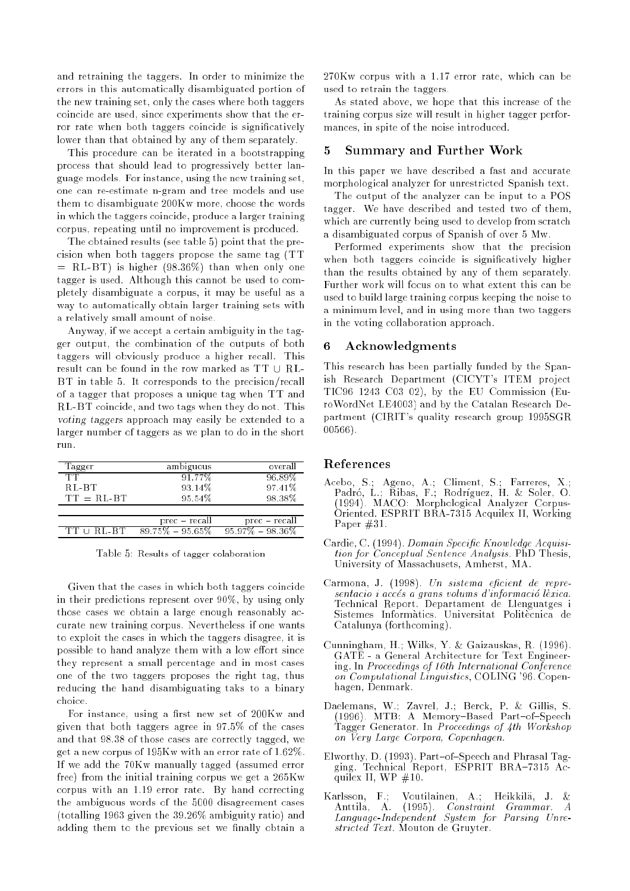and retraining the taggers. In order to minimize the errors in this automatically disambiguated portion of the new training set, only the cases where both taggers coincide are used, since experiments show that the error rate when both taggers coincide is significatively lower than that obtained by any of them separately.

This procedure can be iterated in a bootstrapping process that should lead to progressively better language models. For instance, using the new training set, one can re-estimate n-gram and tree models and use them to disambiguate 200Kw more, choose the words in which the taggers coincide, produce a larger training corpus, repeating until no improvement is produced.

The obtained results (see table 5) point that the precision when both taggers propose the same tag (TT  $=$  RL-BT) is higher (98.36%) than when only one tagger is used. Although this cannot be used to completely disambiguate a corpus, it may be useful as a way to automatically obtain larger training sets with a relatively small amount of noise.

Anyway, if we accept a certain ambiguity in the tagger output, the combination of the outputs of both taggers will obviously produce a higher recall. This result can be found in the row marked as  $TT \cup RL$ -BT in table 5. It corresponds to the precision/recall of a tagger that proposes a unique tag when TT and RL-BT coincide, and two tags when they do not. This voting taggers approach may easily be extended to a larger number of taggers as we plan to do in the short run.

| lagger          | ambiguous           | overall         |
|-----------------|---------------------|-----------------|
| ጥጥ              | 91 77%              | 96.89%          |
| RL-BT           | $93.14\%$           | 97.41\%         |
| $TT = R L - BT$ | 95.54%              | 98.38%          |
|                 |                     |                 |
|                 | $prec - recall$     | $prec - recall$ |
|                 | $89.75\% - 95.65\%$ | $-98.36\%$      |

Table 5: Results of tagger colaboration

Given that the cases in which both taggers coincide in their predictions represent over 90%, by using only those cases we obtain a large enough reasonably accurate new training corpus. Nevertheless if one wants to exploit the cases in which the taggers disagree, it is possible to hand analyze them with a low effort since they represent a small percentage and in most cases one of the two taggers proposes the right tag, thus reducing the hand disambiguating taks to a binary choice.

For instance, using a first new set of 200Kw and given that both taggers agree in 97.5% of the cases and that 98.38 of those cases are correctly tagged, we get a new corpus of 195Kw with an error rate of 1.62%. If we add the 70Kw manually tagged (assumed error free) from the initial training corpus we get a 265Kw corpus with an 1.19 error rate. By hand correcting the ambiguous words of the 5000 disagreement cases (totalling 1963 given the 39.26% ambiguity ratio) and adding them to the previous set we finally obtain a

270Kw corpus with a 1.17 error rate, which can be used to retrain the taggers.

As stated above, we hope that this increase of the training corpus size will result in higher tagger performances, in spite of the noise introduced.

## 5 Summary and Further Work

In this paper we have described a fast and accurate morphological analyzer for unrestricted Spanish text.

The output of the analyzer can be input to a POS tagger. We have described and tested two of them, which are currently being used to develop from scratch a disambiguated corpus of Spanish of over 5 Mw.

Performed experiments show that the precision when both taggers coincide is signicatively higher than the results obtained by any of them separately. Further work will focus on to what extent this can be used to build large training corpus keeping the noise to a minimum level, and in using more than two taggers in the voting collaboration approach.

#### 6 6 Acknowledgments

This research has been partially funded by the Spanish Research Department (CICYT's ITEM project  $TIC96-1243-C03-02$ , by the EU Commission (EuroWordNet LE4003) and by the Catalan Research Department (CIRIT's quality research group 1995SGR 00566).

## References

- Acebo, S.; Ageno, A.; Climent, S.; Farreres, X.; Padro, L.; Ribas, F.; Rodrguez, H. & Soler, O. (1994). MACO: Morphological Analyzer Corpus-Oriented. ESPRIT BRA-7315 Acquilex II, Working Paper #31.
- Cardie, C. (1994). Domain Specific Knowledge Acquisition for Conceptual Sentence Analysis. PhD Thesis, University of Massachusets, Amherst, MA.
- Carmona, J. (1998). Un sistema eficient de representacio i accés a grans volums d'informació lèxica. Technical Report. Departament de Llenguatges i Sistemes Informàtics. Universitat Politècnica de Catalunya (forthcoming).
- Cunningham, H.; Wilks, Y. & Gaizauskas, R. (1996). GATE - a General Architecture for Text Engineering. In Proceedings of 16th International Conference on Computational Linguistics, COLING '96. Copenhagen, Denmark.
- Daelemans, W.; Zavrel, J.; Berck, P. & Gillis, S.  $\mathcal{L}$  , and the matrices  $\mathcal{L}$  are  $\mathcal{L}$  and  $\mathcal{L}$  are  $\mathcal{L}$  and  $\mathcal{L}$  are  $\mathcal{L}$  and  $\mathcal{L}$ Tagger Generator. In Proceedings of 4th Workshop on Very Large Corpora, Copenhagen.
- Elworthy, D. (1993). Part-of-Speech and Phrasal Tagging. Technical Report, ESPRIT BRA-7315 Acquilex II, WP  $\#10$ .
- Karlsson, F.; Voutilainen, A.; Heikkila, J. & Anttila, A. (1995). Constraint Grammar. A Language-Independent System for Parsing Unrestricted Text. Mouton de Gruyter.